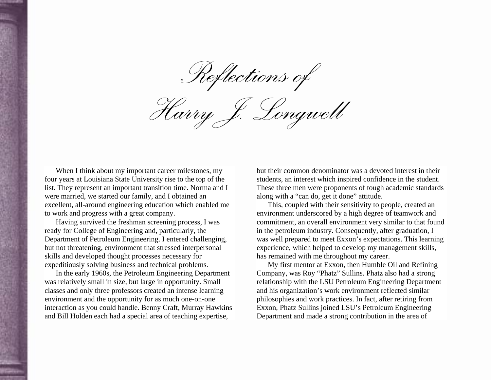*Reflections of* 

*Harry J. Longwell* 

When I think about my important career milestones, my four years at Louisiana State University rise to the top of the list. They represent an important transition time. Norma and I were married, we started our family, and I obtained an excellent, all-around engineering education which enabled me to work and progress with a great company.

Having survived the freshman screening process, I was ready for College of Engineering and, particularly, the Department of Petroleum Engineering. I entered challenging, but not threatening, environment that stressed interpersonal skills and developed thought processes necessary for expeditiously solving business and technical problems.

In the early 1960s, the Petroleum Engineering Department was relatively small in size, but large in opportunity. Small classes and only three professors created an intense learning environment and the opportunity for as much one-on-one interaction as you could handle. Benny Craft, Murray Hawkins and Bill Holden each had a special area of teaching expertise,

but their common denominator was a devoted interest in their students, an interest which inspired confidence in the student. These three men were proponents of tough academic standards along with a "can do, get it done" attitude.

This, coupled with their sensitivity to people, created an environment underscored by a high degree of teamwork and commitment, an overall environment very similar to that found in the petroleum industry. Consequently, after graduation, I was well prepared to meet Exxon's expectations. This learning experience, which helped to develop my management skills, has remained with me throughout my career.

My first mentor at Exxon, then Humble Oil and Refining Company, was Roy "Phatz" Sullins. Phatz also had a strong relationship with the LSU Petroleum Engineering Department and his organization's work environment reflected similar philosophies and work practices. In fact, after retiring from Exxon, Phatz Sullins joined LSU's Petroleum Engineering Department and made a strong contribution in the area of